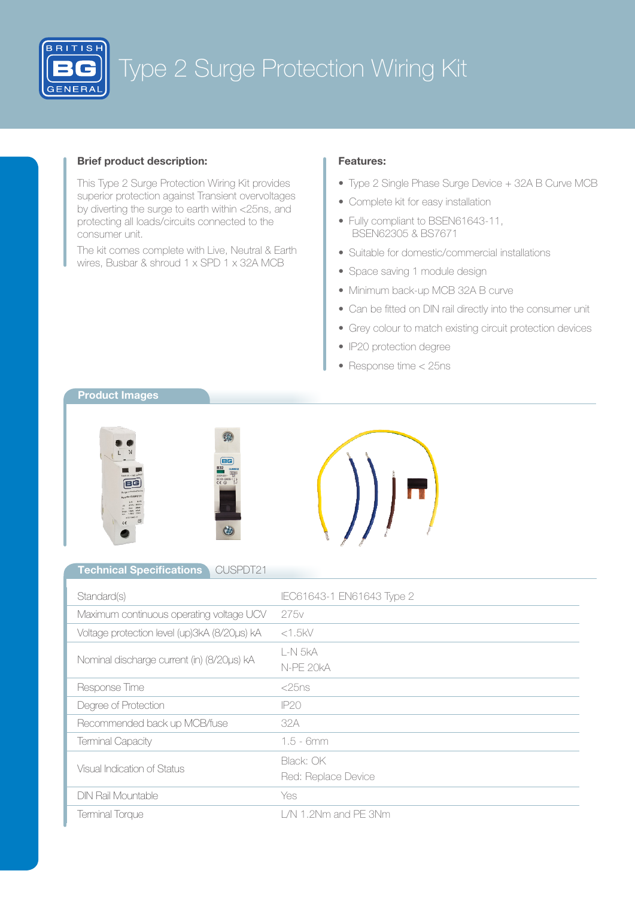

## Brief product description:

This Type 2 Surge Protection Wiring Kit provides superior protection against Transient overvoltages by diverting the surge to earth within <25ns, and protecting all loads/circuits connected to the consumer unit.

The kit comes complete with Live, Neutral & Earth wires, Busbar & shroud 1 x SPD 1 x 32A MCB

### Features:

- Type 2 Single Phase Surge Device + 32A B Curve MCB
- Complete kit for easy installation
- Fully compliant to BSEN61643-11, BSEN62305 & BS7671
- Suitable for domestic/commercial installations
- Space saving 1 module design
- Minimum back-up MCB 32A B curve
- Can be fitted on DIN rail directly into the consumer unit
- Grey colour to match existing circuit protection devices
- IP20 protection degree
- Response time < 25ns

# Product Images







#### Technical Specifications CUSPDT21

| Standard(s)                                  | IEC61643-1 EN61643 Type 2        |
|----------------------------------------------|----------------------------------|
| Maximum continuous operating voltage UCV     | 275v                             |
| Voltage protection level (up)3kA (8/20us) kA | $<$ 1.5 $kV$                     |
| Nominal discharge current (in) (8/20us) kA   | L-N 5kA<br>N-PE 20kA             |
| Response Time                                | $<$ 25 ns                        |
| Degree of Protection                         | <b>IP20</b>                      |
| Recommended back up MCB/fuse                 | 32A                              |
| <b>Terminal Capacity</b>                     | $1.5 - 6mm$                      |
| Visual Indication of Status                  | Black: OK<br>Red: Replace Device |
| <b>DIN Rail Mountable</b>                    | Yes                              |
| Terminal Torque                              | $L/N$ 1.2Nm and PE 3Nm           |